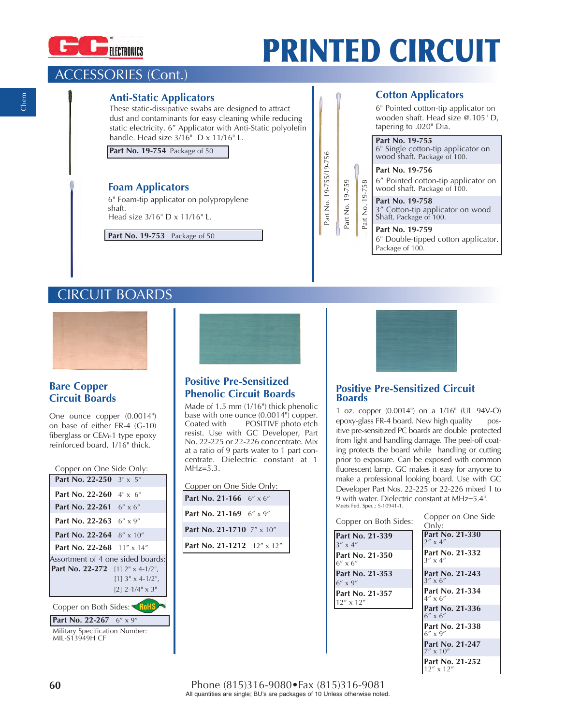

# **PRINTED CIRCUIT**

# ACCESSORIES (Cont.)

## **Anti-Static Applicators**

These static-dissipative swabs are designed to attract dust and contaminants for easy cleaning while reducing static electricity. 6" Applicator with Anti-Static polyolefin handle. Head size 3/16" D x 11/16" L.

**Part No. 19-754** Package of 50

## **Foam Applicators**

6" Foam-tip applicator on polypropylene shaft. Head size 3/16" D x 11/16" L.

**Part No. 19-753** Package of 50

#### wooden shaft. Head size @.105" D, tapering to .020" Dia. **Part No. 19-755** 6" Single cotton-tip applicator on wood shaft. Package of 100.

Part No. 19-755/19-756

Part No. 19-755/19-756

Part No. 19-759

Part No. 19-759

Part No. 19-758

.758  $19 \frac{1}{2}$ Part **Part No. 19-756** 6" Pointed cotton-tip applicator on

6" Pointed cotton-tip applicator on

**Cotton Applicators**

wood shaft. Package of 100. **Part No. 19-758** 3" Cotton-tip applicator on wood Shaft. Package of 100.

**Part No. 19-759** 6" Double-tipped cotton applicator. Package of 100.

# CIRCUIT BOARDS



# **Bare Copper Circuit Boards**

One ounce copper (0.0014") on base of either FR-4 (G-10) fiberglass or CEM-1 type epoxy reinforced board, 1/16" thick.

| Copper on One Side Only:                             |                          |  |
|------------------------------------------------------|--------------------------|--|
| Part No. 22-250 3" x 5"                              |                          |  |
| <b>Part No. 22-260</b> $4" \times 6"$                |                          |  |
| <b>Part No. 22-261</b> $6'' \times 6''$              |                          |  |
| <b>Part No. 22-263</b> $6'' \times 9''$              |                          |  |
| <b>Part No. 22-264</b> $8'' \times 10''$             |                          |  |
| Part No. 22-268 $11'' \times 14''$                   |                          |  |
| Assortment of 4 one sided boards:                    |                          |  |
| <b>Part No. 22-272</b> [1] $2^{\pi} \times 4$ -1/2", |                          |  |
|                                                      | $[1]$ 3" x 4-1/2",       |  |
|                                                      | $[2]$ 2-1/4" $\times$ 3" |  |
| Copper on Both Sides: RoHS                           |                          |  |
| <b>Part No. 22-267</b> $6'' \times 9''$              |                          |  |

Military Specification Number: MIL-S13949H CF



# **Positive Pre-Sensitized Phenolic Circuit Boards**

Made of 1.5 mm (1/16") thick phenolic base with one ounce (0.0014") copper.<br>Coated with POSITIVE photo etch POSITIVE photo etch resist. Use with GC Developer, Part No. 22-225 or 22-226 concentrate. Mix at a ratio of 9 parts water to 1 part concentrate. Dielectric constant at 1  $MHz=5.3$ .

| Copper on One Side Only:   |  |
|----------------------------|--|
| Part No. 21-166 6" x 6"    |  |
| Part No. 21-169 6" x 9"    |  |
| Part No. 21-1710 7" x 10"  |  |
| Part No. 21-1212 12" x 12" |  |



### **Positive Pre-Sensitized Circuit Boards**

1 oz. copper (0.0014") on a 1/16" (UL 94V-O) epoxy-glass FR-4 board. New high quality positive pre-sensitized PC boards are double protected from light and handling damage. The peel-off coating protects the board while handling or cutting prior to exposure. Can be exposed with common fluorescent lamp. GC makes it easy for anyone to make a professional looking board. Use with GC Developer Part Nos. 22-225 or 22-226 mixed 1 to 9 with water. Dielectric constant at MHz=5.4". Meets Fed. Spec.: S-10941-1.

#### Copper on Both Sides:

| Part No. 21-339<br>$3'' \times 4''$                            |
|----------------------------------------------------------------|
| lPart No. 21-350<br>$6'' \times 6''$<br><b>Part No. 21-353</b> |
|                                                                |
| $6'' \times 9''$                                               |
| Part No. 21-357<br>$12'' \times 12''$                          |

Copper on One Side Only:

| Oniv:                                 |  |
|---------------------------------------|--|
| Part No. 21-330<br>$2'' \times 4''$   |  |
| Part No. 21-332<br>$3'' \times 4''$   |  |
| Part No. 21-243<br>$3'' \times 6''$   |  |
| Part No. 21-334<br>$4'' \times 6''$   |  |
| Part No. 21-336<br>$6'' \times 6''$   |  |
| Part No. 21-338<br>$6'' \times 9''$   |  |
| Part No. 21-247<br>$7'' \times 10''$  |  |
| Part No. 21-252<br>$12'' \times 12''$ |  |